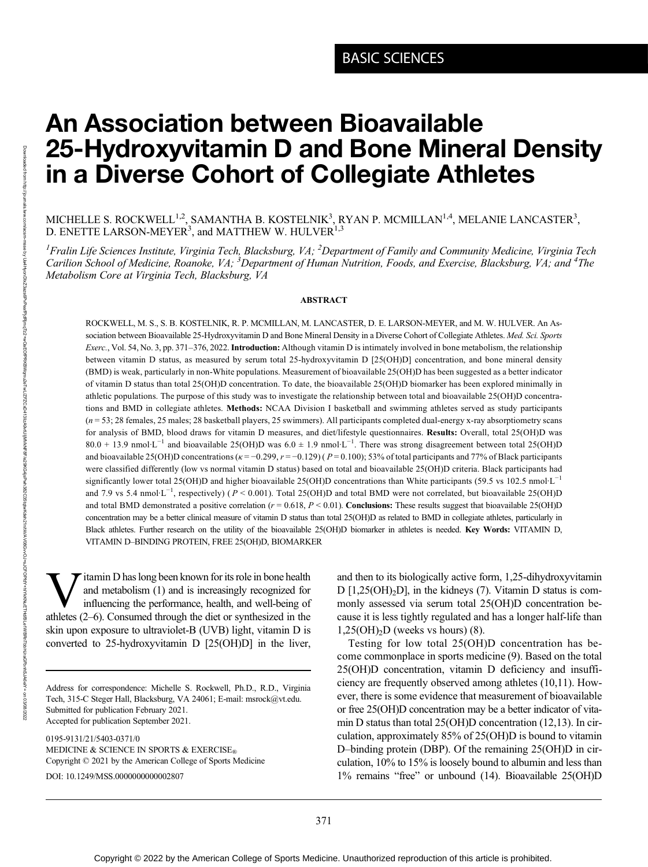# An Association between Bioavailable 25-Hydroxyvitamin D and Bone Mineral Density in a Diverse Cohort of Collegiate Athletes

## MICHELLE S. ROCKWELL $^{1,2}$ , SAMANTHA B. KOSTELNIK $^3$ , RYAN P. MCMILLAN $^{1,4}$ , MELANIE LANCASTER $^3$ , D. ENETTE LARSON-MEYER<sup>3</sup>, and MATTHEW W. HULVER<sup>1,3</sup>

<sup>1</sup>Fralin Life Sciences Institute, Virginia Tech, Blacksburg, VA; <sup>2</sup>Department of Family and Community Medicine, Virginia Tech Carilion School of Medicine, Roanoke, VA; <sup>3</sup>Department of Human Nutrition, Foods, and Exercise, Blacksburg, VA; and <sup>4</sup>The Metabolism Core at Virginia Tech, Blacksburg, VA

#### ABSTRACT

ROCKWELL, M. S., S. B. KOSTELNIK, R. P. MCMILLAN, M. LANCASTER, D. E. LARSON-MEYER, and M. W. HULVER. An Association between Bioavailable 25-Hydroxyvitamin D and Bone Mineral Density in a Diverse Cohort of Collegiate Athletes. Med. Sci. Sports Exerc., Vol. 54, No. 3, pp. 371-376, 2022. Introduction: Although vitamin D is intimately involved in bone metabolism, the relationship between vitamin D status, as measured by serum total 25-hydroxyvitamin D [25(OH)D] concentration, and bone mineral density (BMD) is weak, particularly in non-White populations. Measurement of bioavailable 25(OH)D has been suggested as a better indicator of vitamin D status than total 25(OH)D concentration. To date, the bioavailable 25(OH)D biomarker has been explored minimally in athletic populations. The purpose of this study was to investigate the relationship between total and bioavailable 25(OH)D concentrations and BMD in collegiate athletes. Methods: NCAA Division I basketball and swimming athletes served as study participants (n = 53; 28 females, 25 males; 28 basketball players, 25 swimmers). All participants completed dual-energy x-ray absorptiometry scans for analysis of BMD, blood draws for vitamin D measures, and diet/lifestyle questionnaires. Results: Overall, total 25(OH)D was 80.0 + 13.9 nmol⋅L<sup>-1</sup> and bioavailable 25(OH)D was  $6.0 \pm 1.9$  nmol⋅L<sup>-1</sup>. There was strong disagreement between total 25(OH)D and bioavailable 25(OH)D concentrations ( $\kappa = -0.299$ ,  $r = -0.129$ ) ( $P = 0.100$ ); 53% of total participants and 77% of Black participants were classified differently (low vs normal vitamin D status) based on total and bioavailable 25(OH)D criteria. Black participants had significantly lower total 25(OH)D and higher bioavailable 25(OH)D concentrations than White participants (59.5 vs 102.5 nmol·L<sup>-1</sup> and 7.9 vs 5.4 nmol⋅L<sup>-1</sup>, respectively) (P < 0.001). Total 25(OH)D and total BMD were not correlated, but bioavailable 25(OH)D and total BMD demonstrated a positive correlation  $(r = 0.618, P < 0.01)$ . Conclusions: These results suggest that bioavailable 25(OH)D concentration may be a better clinical measure of vitamin D status than total 25(OH)D as related to BMD in collegiate athletes, particularly in Black athletes. Further research on the utility of the bioavailable 25(OH)D biomarker in athletes is needed. Key Words: VITAMIN D, VITAMIN D–BINDING PROTEIN, FREE 25(OH)D, BIOMARKER

itamin D has long been known for its role in bone health and metabolism (1) and is increasingly recognized for influencing the performance, health, and well-being of athletes (2–6). Consumed through the diet or synthesized in the skin upon exposure to ultraviolet-B (UVB) light, vitamin D is converted to 25-hydroxyvitamin D [25(OH)D] in the liver,

Address for correspondence: Michelle S. Rockwell, Ph.D., R.D., Virginia Tech, 315-C Steger Hall, Blacksburg, VA 24061; E-mail: [msrock@vt.edu](mailto:msrock@vt.edu). Submitted for publication February 2021. Accepted for publication September 2021.

0195-9131/21/5403-0371/0 MEDICINE & SCIENCE IN SPORTS & EXERCISE® Copyright © 2021 by the American College of Sports Medicine DOI: 10.1249/MSS.0000000000002807

and then to its biologically active form, 1,25-dihydroxyvitamin D  $[1,25(OH),D]$ , in the kidneys (7). Vitamin D status is commonly assessed via serum total 25(OH)D concentration because it is less tightly regulated and has a longer half-life than  $1,25(OH)_{2}D$  (weeks vs hours) (8).

Testing for low total 25(OH)D concentration has become commonplace in sports medicine (9). Based on the total 25(OH)D concentration, vitamin D deficiency and insufficiency are frequently observed among athletes (10,11). However, there is some evidence that measurement of bioavailable or free 25(OH)D concentration may be a better indicator of vitamin D status than total 25(OH)D concentration (12,13). In circulation, approximately 85% of 25(OH)D is bound to vitamin D–binding protein (DBP). Of the remaining 25(OH)D in circulation, 10% to 15% is loosely bound to albumin and less than 1% remains "free" or unbound (14). Bioavailable 25(OH)D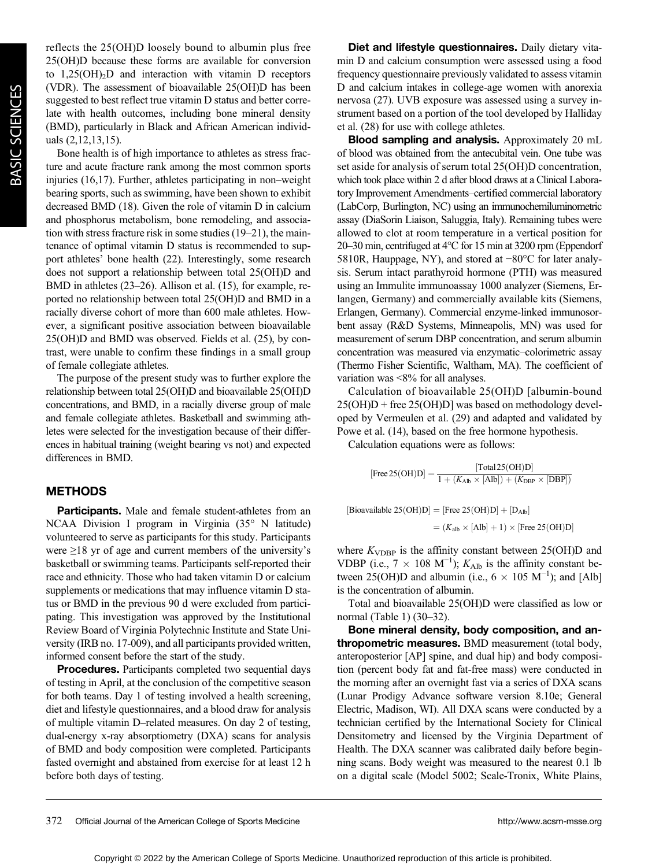reflects the 25(OH)D loosely bound to albumin plus free 25(OH)D because these forms are available for conversion to  $1,25(OH)<sub>2</sub>D$  and interaction with vitamin D receptors (VDR). The assessment of bioavailable 25(OH)D has been suggested to best reflect true vitamin D status and better correlate with health outcomes, including bone mineral density (BMD), particularly in Black and African American individuals (2,12,13,15).

Bone health is of high importance to athletes as stress fracture and acute fracture rank among the most common sports injuries (16,17). Further, athletes participating in non–weight bearing sports, such as swimming, have been shown to exhibit decreased BMD (18). Given the role of vitamin D in calcium and phosphorus metabolism, bone remodeling, and association with stress fracture risk in some studies (19–21), the maintenance of optimal vitamin D status is recommended to support athletes' bone health (22). Interestingly, some research does not support a relationship between total 25(OH)D and BMD in athletes (23–26). Allison et al. (15), for example, reported no relationship between total 25(OH)D and BMD in a racially diverse cohort of more than 600 male athletes. However, a significant positive association between bioavailable 25(OH)D and BMD was observed. Fields et al. (25), by contrast, were unable to confirm these findings in a small group of female collegiate athletes.

The purpose of the present study was to further explore the relationship between total 25(OH)D and bioavailable 25(OH)D concentrations, and BMD, in a racially diverse group of male and female collegiate athletes. Basketball and swimming athletes were selected for the investigation because of their differences in habitual training (weight bearing vs not) and expected differences in BMD.

## METHODS

Participants. Male and female student-athletes from an NCAA Division I program in Virginia (35° N latitude) volunteered to serve as participants for this study. Participants were  $\geq$ 18 yr of age and current members of the university's basketball or swimming teams. Participants self-reported their race and ethnicity. Those who had taken vitamin D or calcium supplements or medications that may influence vitamin D status or BMD in the previous 90 d were excluded from participating. This investigation was approved by the Institutional Review Board of Virginia Polytechnic Institute and State University (IRB no. 17-009), and all participants provided written, informed consent before the start of the study.

**Procedures.** Participants completed two sequential days of testing in April, at the conclusion of the competitive season for both teams. Day 1 of testing involved a health screening, diet and lifestyle questionnaires, and a blood draw for analysis of multiple vitamin D–related measures. On day 2 of testing, dual-energy x-ray absorptiometry (DXA) scans for analysis of BMD and body composition were completed. Participants fasted overnight and abstained from exercise for at least 12 h before both days of testing.

Diet and lifestyle questionnaires. Daily dietary vitamin D and calcium consumption were assessed using a food frequency questionnaire previously validated to assess vitamin D and calcium intakes in college-age women with anorexia nervosa (27). UVB exposure was assessed using a survey instrument based on a portion of the tool developed by Halliday et al. (28) for use with college athletes.

Blood sampling and analysis. Approximately 20 mL of blood was obtained from the antecubital vein. One tube was set aside for analysis of serum total 25(OH)D concentration, which took place within 2 d after blood draws at a Clinical Laboratory Improvement Amendments–certified commercial laboratory (LabCorp, Burlington, NC) using an immunochemiluminometric assay (DiaSorin Liaison, Saluggia, Italy). Remaining tubes were allowed to clot at room temperature in a vertical position for 20–30 min, centrifuged at 4°C for 15 min at 3200 rpm (Eppendorf 5810R, Hauppage, NY), and stored at −80°C for later analysis. Serum intact parathyroid hormone (PTH) was measured using an Immulite immunoassay 1000 analyzer (Siemens, Erlangen, Germany) and commercially available kits (Siemens, Erlangen, Germany). Commercial enzyme-linked immunosorbent assay (R&D Systems, Minneapolis, MN) was used for measurement of serum DBP concentration, and serum albumin concentration was measured via enzymatic–colorimetric assay (Thermo Fisher Scientific, Waltham, MA). The coefficient of variation was <8% for all analyses.

Calculation of bioavailable 25(OH)D [albumin-bound 25(OH)D + free 25(OH)D] was based on methodology developed by Vermeulen et al. (29) and adapted and validated by Powe et al. (14), based on the free hormone hypothesis.

Calculation equations were as follows:

$$
[\text{Free\,25(OH)D}] = \frac{[\text{Total\,25(OH)D}]}{1 + (K_{\text{Ab}} \times [\text{Alb}]) + (K_{\text{DBP}} \times [\text{DBP}])}
$$

 $[Bioavailable 25(OH)D] = [Free 25(OH)D] + [D<sub>Alb</sub>]$ 

 $= (K_{\text{alb}} \times [\text{Alb}] + 1) \times [\text{Free 25(OH)D}]$ 

where  $K_{\text{VDBP}}$  is the affinity constant between 25(OH)D and VDBP (i.e.,  $7 \times 108 \text{ M}^{-1}$ );  $K_{\text{Alb}}$  is the affinity constant between 25(OH)D and albumin (i.e.,  $6 \times 105 \text{ M}^{-1}$ ); and [Alb] is the concentration of albumin.

Total and bioavailable 25(OH)D were classified as low or normal (Table 1) (30–32).

Bone mineral density, body composition, and anthropometric measures. BMD measurement (total body, anteroposterior [AP] spine, and dual hip) and body composition (percent body fat and fat-free mass) were conducted in the morning after an overnight fast via a series of DXA scans (Lunar Prodigy Advance software version 8.10e; General Electric, Madison, WI). All DXA scans were conducted by a technician certified by the International Society for Clinical Densitometry and licensed by the Virginia Department of Health. The DXA scanner was calibrated daily before beginning scans. Body weight was measured to the nearest 0.1 lb on a digital scale (Model 5002; Scale-Tronix, White Plains,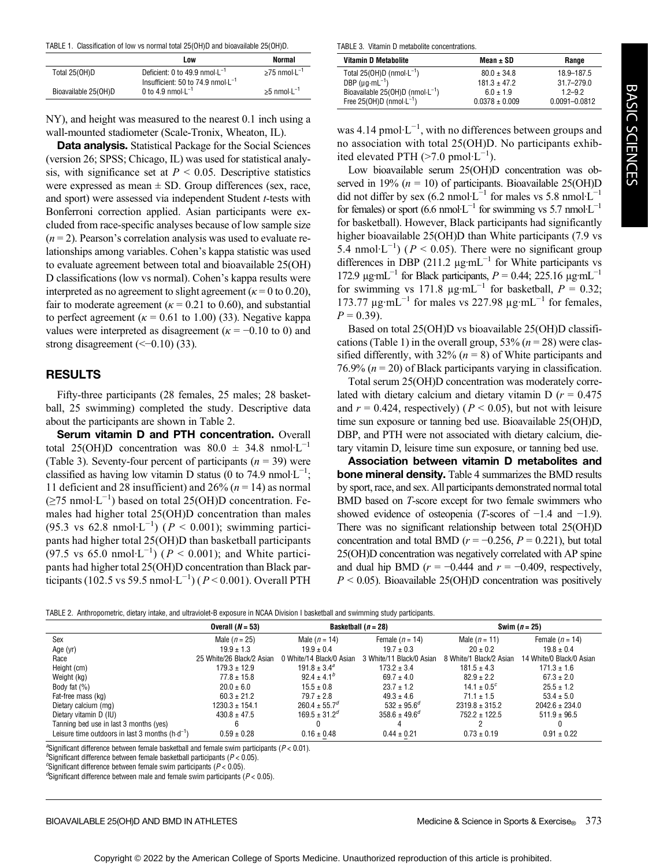TABLE 1. Classification of low vs normal total 25(OH)D and bioavailable 25(OH)D.

|                      | Low                                                                          | Normal                                 |
|----------------------|------------------------------------------------------------------------------|----------------------------------------|
| Total 25(OH)D        | Deficient: 0 to 49.9 nmol $L^{-1}$<br>Insufficient: 50 to 74.9 nmol $L^{-1}$ | $\geq$ 75 nmol $\cdot$ L <sup>-1</sup> |
| Bioavailable 25(OH)D | 0 to 4.9 nmol $L^{-1}$                                                       | $\geq$ 5 nmol $\cdot$ L <sup>-1</sup>  |

NY), and height was measured to the nearest 0.1 inch using a wall-mounted stadiometer (Scale-Tronix, Wheaton, IL).

Data analysis. Statistical Package for the Social Sciences (version 26; SPSS; Chicago, IL) was used for statistical analysis, with significance set at  $P \le 0.05$ . Descriptive statistics were expressed as mean  $\pm$  SD. Group differences (sex, race, and sport) were assessed via independent Student t-tests with Bonferroni correction applied. Asian participants were excluded from race-specific analyses because of low sample size  $(n = 2)$ . Pearson's correlation analysis was used to evaluate relationships among variables. Cohen's kappa statistic was used to evaluate agreement between total and bioavailable 25(OH) D classifications (low vs normal). Cohen's kappa results were interpreted as no agreement to slight agreement ( $\kappa$  = 0 to 0.20), fair to moderate agreement ( $\kappa$  = 0.21 to 0.60), and substantial to perfect agreement ( $\kappa = 0.61$  to 1.00) (33). Negative kappa values were interpreted as disagreement ( $\kappa = -0.10$  to 0) and strong disagreement  $\leftlt$  -0.10) (33).

## RESULTS

Fifty-three participants (28 females, 25 males; 28 basketball, 25 swimming) completed the study. Descriptive data about the participants are shown in Table 2.

Serum vitamin D and PTH concentration. Overall total 25(OH)D concentration was 80.0  $\pm$  34.8 nmol·L<sup>-1</sup> (Table 3). Seventy-four percent of participants  $(n = 39)$  were classified as having low vitamin D status (0 to 74.9 nmol⋅L<sup>-1</sup>; 11 deficient and 28 insufficient) and  $26\%$  ( $n = 14$ ) as normal (≥75 nmol·L−<sup>1</sup> ) based on total 25(OH)D concentration. Females had higher total 25(OH)D concentration than males (95.3 vs 62.8 nmol·L<sup>-1</sup>) ( $P < 0.001$ ); swimming participants had higher total 25(OH)D than basketball participants  $(97.5 \text{ vs } 65.0 \text{ nmol·L}^{-1})$  ( $P < 0.001$ ); and White participants had higher total 25(OH)D concentration than Black participants (102.5 vs 59.5 nmol·L<sup>-1</sup>) ( $P < 0.001$ ). Overall PTH

TABLE 3. Vitamin D metabolite concentrations.

| Vitamin D Metabolite                                                        | Mean $\pm$ SD                       | Range                        |
|-----------------------------------------------------------------------------|-------------------------------------|------------------------------|
| Total 25(OH)D (nmol·L <sup>-1</sup> )<br>DBP (µg·mL <sup>-1</sup> )         | $80.0 \pm 34.8$<br>$181.3 \pm 47.2$ | 18.9-187.5<br>$31.7 - 279.0$ |
| Bioavailable $25(OH)D$ (nmol $-L^{-1}$ )<br>Free $25(OH)D$ (nmol $L^{-1}$ ) | $6.0 \pm 1.9$<br>$0.0378 \pm 0.009$ | $12 - 92$<br>0.0091-0.0812   |

was 4.14 pmol⋅L<sup>-1</sup>, with no differences between groups and no association with total 25(OH)D. No participants exhibited elevated PTH  $($ >7.0 pmol·L<sup>-1</sup> $)$ .

Low bioavailable serum 25(OH)D concentration was observed in 19% ( $n = 10$ ) of participants. Bioavailable 25(OH)D did not differ by sex (6.2 nmol·L<sup>-1</sup> for males vs 5.8 nmol·L<sup>-1</sup> for females) or sport (6.6 nmol⋅L<sup>-1</sup> for swimming vs 5.7 nmol⋅L<sup>-1</sup> for basketball). However, Black participants had significantly higher bioavailable 25(OH)D than White participants (7.9 vs 5.4 nmol⋅L<sup>-1</sup>) ( $P < 0.05$ ). There were no significant group differences in DBP (211.2  $\mu$ g·mL<sup>-1</sup> for White participants vs 172.9 μg·mL<sup>-1</sup> for Black participants,  $P = 0.44$ ; 225.16 μg·mL<sup>-1</sup> for swimming vs 171.8  $\mu$ g·mL<sup>-1</sup> for basketball, P = 0.32; 173.77 μg·mL<sup>-1</sup> for males vs 227.98 μg·mL<sup>-1</sup> for females,  $P = 0.39$ ).

Based on total 25(OH)D vs bioavailable 25(OH)D classifications (Table 1) in the overall group,  $53\%$  ( $n = 28$ ) were classified differently, with 32% ( $n = 8$ ) of White participants and 76.9% ( $n = 20$ ) of Black participants varying in classification.

Total serum 25(OH)D concentration was moderately correlated with dietary calcium and dietary vitamin D ( $r = 0.475$ ) and  $r = 0.424$ , respectively) ( $P \le 0.05$ ), but not with leisure time sun exposure or tanning bed use. Bioavailable 25(OH)D, DBP, and PTH were not associated with dietary calcium, dietary vitamin D, leisure time sun exposure, or tanning bed use.

Association between vitamin D metabolites and bone mineral density. Table 4 summarizes the BMD results by sport, race, and sex. All participants demonstrated normal total BMD based on T-score except for two female swimmers who showed evidence of osteopenia (T-scores of  $-1.4$  and  $-1.9$ ). There was no significant relationship between total 25(OH)D concentration and total BMD ( $r = -0.256$ ,  $P = 0.221$ ), but total 25(OH)D concentration was negatively correlated with AP spine and dual hip BMD ( $r = -0.444$  and  $r = -0.409$ , respectively,  $P < 0.05$ ). Bioavailable 25(OH)D concentration was positively

TABLE 2. Anthropometric, dietary intake, and ultraviolet-B exposure in NCAA Division I basketball and swimming study participants.

|                                                           | Overall $(N = 53)$        | Basketball ( $n = 28$ )  |                          | Swim $(n = 25)$         |                          |
|-----------------------------------------------------------|---------------------------|--------------------------|--------------------------|-------------------------|--------------------------|
| Sex                                                       | Male ( $n = 25$ )         | Male ( $n = 14$ )        | Female $(n = 14)$        | Male ( $n = 11$ )       | Female $(n = 14)$        |
| Age (yr)                                                  | $19.9 \pm 1.3$            | $19.9 \pm 0.4$           | $19.7 \pm 0.3$           | $20 + 0.2$              | $19.8 \pm 0.4$           |
| Race                                                      | 25 White/26 Black/2 Asian | 0 White/14 Black/0 Asian | 3 White/11 Black/0 Asian | 8 White/1 Black/2 Asian | 14 White/0 Black/0 Asian |
| Height (cm)                                               | $179.3 \pm 12.9$          | $191.8 \pm 3.4^a$        | $173.2 \pm 3.4$          | $181.5 \pm 4.3$         | $171.3 \pm 1.6$          |
| Weight (kg)                                               | $77.8 \pm 15.8$           | $92.4 \pm 4.1^{b}$       | $69.7 \pm 4.0$           | $82.9 \pm 2.2$          | $67.3 \pm 2.0$           |
| Body fat $(%)$                                            | $20.0 \pm 6.0$            | $15.5 \pm 0.8$           | $23.7 \pm 1.2$           | $14.1 \pm 0.5^{c}$      | $25.5 \pm 1.2$           |
| Fat-free mass (kg)                                        | $60.3 \pm 21.2$           | $79.7 \pm 2.8$           | $49.3 \pm 4.6$           | $71.1 \pm 1.5$          | $53.4 \pm 5.0$           |
| Dietary calcium (mg)                                      | 1230.3 ± 154.1            | $260.4 \pm 55.7^d$       | $532 + 95.6^{\circ}$     | $2319.8 \pm 315.2$      | $2042.6 \pm 234.0$       |
| Dietary vitamin D (IU)                                    | $430.8 \pm 47.5$          | $169.5 \pm 31.2^{\circ}$ | $358.6 \pm 49.6^{\circ}$ | $752.2 \pm 122.5$       | $511.9 \pm 96.5$         |
| Tanning bed use in last 3 months (yes)                    |                           |                          |                          |                         |                          |
| Leisure time outdoors in last 3 months $(h \cdot d^{-1})$ | $0.59 \pm 0.28$           | $0.16 \pm 0.48$          | $0.44 \pm 0.21$          | $0.73 \pm 0.19$         | $0.91 \pm 0.22$          |

<sup>a</sup>Significant difference between female basketball and female swim participants ( $P < 0.01$ ).

 $b$ Significant difference between female basketball participants ( $P < 0.05$ ).

<sup>c</sup>Significant difference between female swim participants ( $P < 0.05$ ).

 $\sigma$ Significant difference between male and female swim participants ( $P < 0.05$ ).

#### BIOAVAILABLE 25(OH)D AND BMD IN ATHLETES Medicine & Science in Sports & Exercise<sup>®</sup> 373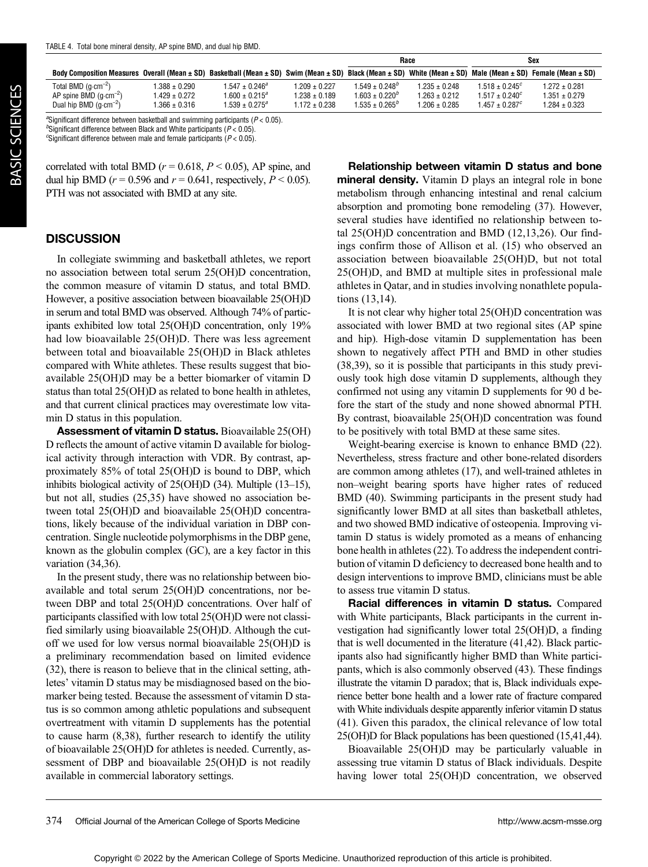|                                                                                                                                                               |                   |                     |                   | Race                |                   | Sex                            |                   |
|---------------------------------------------------------------------------------------------------------------------------------------------------------------|-------------------|---------------------|-------------------|---------------------|-------------------|--------------------------------|-------------------|
| Body Composition Measures Overall (Mean ± SD) Basketball (Mean ± SD) Swim (Mean ± SD) Black (Mean ± SD) White (Mean ± SD) Male (Mean ± SD) Female (Mean ± SD) |                   |                     |                   |                     |                   |                                |                   |
| Total BMD $(g \cdot cm^{-2})$                                                                                                                                 | $1.388 \pm 0.290$ | $1.547 \pm 0.246^a$ | $1.209 + 0.227$   | $1.549 \pm 0.248^b$ | $1.235 \pm 0.248$ | $1.518 \pm 0.245^c$            | $1.272 \pm 0.281$ |
| AP spine BMD $(g \cdot cm^{-2})$                                                                                                                              | 1.429 ± 0.272     | $1.600 \pm 0.215^a$ | $1.238 \pm 0.189$ | $1.603 \pm 0.220^b$ | $1.263 \pm 0.212$ | $1.517 \pm 0.240^c$            | $1.351 \pm 0.279$ |
| Dual hip BMD $(q \cdot cm^{-2})$                                                                                                                              | $1.366 \pm 0.316$ | $1.539 \pm 0.275^a$ | $1.172 \pm 0.238$ | $1.535 \pm 0.265^b$ | $1.206 \pm 0.285$ | $1.457 \pm 0.287$ <sup>c</sup> | $1.284 \pm 0.323$ |

<sup>a</sup>Significant difference between basketball and swimming participants ( $P < 0.05$ ).  $b$ Significant difference between Black and White participants ( $P < 0.05$ ).

<sup>c</sup>Significant difference between male and female participants ( $P < 0.05$ ).

correlated with total BMD ( $r = 0.618$ ,  $P \le 0.05$ ), AP spine, and dual hip BMD ( $r = 0.596$  and  $r = 0.641$ , respectively,  $P < 0.05$ ). PTH was not associated with BMD at any site.

## **DISCUSSION**

In collegiate swimming and basketball athletes, we report no association between total serum 25(OH)D concentration, the common measure of vitamin D status, and total BMD. However, a positive association between bioavailable 25(OH)D in serum and total BMD was observed. Although 74% of participants exhibited low total 25(OH)D concentration, only 19% had low bioavailable 25(OH)D. There was less agreement between total and bioavailable 25(OH)D in Black athletes compared with White athletes. These results suggest that bioavailable 25(OH)D may be a better biomarker of vitamin D status than total 25(OH)D as related to bone health in athletes, and that current clinical practices may overestimate low vitamin D status in this population.

Assessment of vitamin D status. Bioavailable 25(OH) D reflects the amount of active vitamin D available for biological activity through interaction with VDR. By contrast, approximately 85% of total 25(OH)D is bound to DBP, which inhibits biological activity of 25(OH)D (34). Multiple (13–15), but not all, studies (25,35) have showed no association between total 25(OH)D and bioavailable 25(OH)D concentrations, likely because of the individual variation in DBP concentration. Single nucleotide polymorphisms in the DBP gene, known as the globulin complex (GC), are a key factor in this variation (34,36).

In the present study, there was no relationship between bioavailable and total serum 25(OH)D concentrations, nor between DBP and total 25(OH)D concentrations. Over half of participants classified with low total 25(OH)D were not classified similarly using bioavailable 25(OH)D. Although the cutoff we used for low versus normal bioavailable 25(OH)D is a preliminary recommendation based on limited evidence (32), there is reason to believe that in the clinical setting, athletes' vitamin D status may be misdiagnosed based on the biomarker being tested. Because the assessment of vitamin D status is so common among athletic populations and subsequent overtreatment with vitamin D supplements has the potential to cause harm (8,38), further research to identify the utility of bioavailable 25(OH)D for athletes is needed. Currently, assessment of DBP and bioavailable 25(OH)D is not readily available in commercial laboratory settings.

Relationship between vitamin D status and bone mineral density. Vitamin D plays an integral role in bone metabolism through enhancing intestinal and renal calcium absorption and promoting bone remodeling (37). However, several studies have identified no relationship between total 25(OH)D concentration and BMD (12,13,26). Our findings confirm those of Allison et al. (15) who observed an association between bioavailable 25(OH)D, but not total 25(OH)D, and BMD at multiple sites in professional male athletes in Qatar, and in studies involving nonathlete populations (13,14).

It is not clear why higher total 25(OH)D concentration was associated with lower BMD at two regional sites (AP spine and hip). High-dose vitamin D supplementation has been shown to negatively affect PTH and BMD in other studies (38,39), so it is possible that participants in this study previously took high dose vitamin D supplements, although they confirmed not using any vitamin D supplements for 90 d before the start of the study and none showed abnormal PTH. By contrast, bioavailable 25(OH)D concentration was found to be positively with total BMD at these same sites.

Weight-bearing exercise is known to enhance BMD (22). Nevertheless, stress fracture and other bone-related disorders are common among athletes (17), and well-trained athletes in non–weight bearing sports have higher rates of reduced BMD (40). Swimming participants in the present study had significantly lower BMD at all sites than basketball athletes, and two showed BMD indicative of osteopenia. Improving vitamin D status is widely promoted as a means of enhancing bone health in athletes (22). To address the independent contribution of vitamin D deficiency to decreased bone health and to design interventions to improve BMD, clinicians must be able to assess true vitamin D status.

Racial differences in vitamin D status. Compared with White participants, Black participants in the current investigation had significantly lower total 25(OH)D, a finding that is well documented in the literature (41,42). Black participants also had significantly higher BMD than White participants, which is also commonly observed (43). These findings illustrate the vitamin D paradox; that is, Black individuals experience better bone health and a lower rate of fracture compared with White individuals despite apparently inferior vitamin D status (41). Given this paradox, the clinical relevance of low total 25(OH)D for Black populations has been questioned (15,41,44).

Bioavailable 25(OH)D may be particularly valuable in assessing true vitamin D status of Black individuals. Despite having lower total 25(OH)D concentration, we observed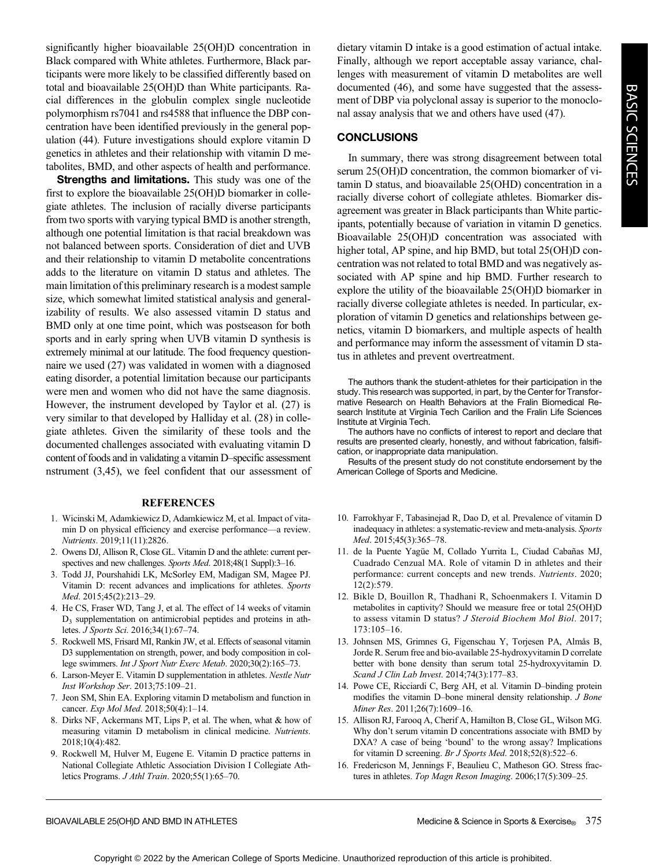significantly higher bioavailable 25(OH)D concentration in Black compared with White athletes. Furthermore, Black participants were more likely to be classified differently based on total and bioavailable 25(OH)D than White participants. Racial differences in the globulin complex single nucleotide polymorphism rs7041 and rs4588 that influence the DBP concentration have been identified previously in the general population (44). Future investigations should explore vitamin D genetics in athletes and their relationship with vitamin D metabolites, BMD, and other aspects of health and performance.

Strengths and limitations. This study was one of the first to explore the bioavailable 25(OH)D biomarker in collegiate athletes. The inclusion of racially diverse participants from two sports with varying typical BMD is another strength, although one potential limitation is that racial breakdown was not balanced between sports. Consideration of diet and UVB and their relationship to vitamin D metabolite concentrations adds to the literature on vitamin D status and athletes. The main limitation of this preliminary research is a modest sample size, which somewhat limited statistical analysis and generalizability of results. We also assessed vitamin D status and BMD only at one time point, which was postseason for both sports and in early spring when UVB vitamin D synthesis is extremely minimal at our latitude. The food frequency questionnaire we used (27) was validated in women with a diagnosed eating disorder, a potential limitation because our participants were men and women who did not have the same diagnosis. However, the instrument developed by Taylor et al. (27) is very similar to that developed by Halliday et al. (28) in collegiate athletes. Given the similarity of these tools and the documented challenges associated with evaluating vitamin D content of foods and in validating a vitamin D–specific assessment nstrument (3,45), we feel confident that our assessment of

#### **REFERENCES**

- 1. Wicinski M, Adamkiewicz D, Adamkiewicz M, et al. Impact of vitamin D on physical efficiency and exercise performance—a review. Nutrients. 2019;11(11):2826.
- 2. Owens DJ, Allison R, Close GL. Vitamin D and the athlete: current perspectives and new challenges. Sports Med. 2018;48(1 Suppl):3-16.
- 3. Todd JJ, Pourshahidi LK, McSorley EM, Madigan SM, Magee PJ. Vitamin D: recent advances and implications for athletes. Sports Med. 2015;45(2):213–29.
- 4. He CS, Fraser WD, Tang J, et al. The effect of 14 weeks of vitamin D3 supplementation on antimicrobial peptides and proteins in athletes. J Sports Sci. 2016;34(1):67–74.
- 5. Rockwell MS, Frisard MI, Rankin JW, et al. Effects of seasonal vitamin D3 supplementation on strength, power, and body composition in college swimmers. Int J Sport Nutr Exerc Metab. 2020;30(2):165–73.
- 6. Larson-Meyer E. Vitamin D supplementation in athletes. Nestle Nutr Inst Workshop Ser. 2013;75:109–21.
- 7. Jeon SM, Shin EA. Exploring vitamin D metabolism and function in cancer. Exp Mol Med. 2018;50(4):1-14.
- 8. Dirks NF, Ackermans MT, Lips P, et al. The when, what & how of measuring vitamin D metabolism in clinical medicine. Nutrients. 2018;10(4):482.
- 9. Rockwell M, Hulver M, Eugene E. Vitamin D practice patterns in National Collegiate Athletic Association Division I Collegiate Athletics Programs. J Athl Train. 2020;55(1):65–70.

dietary vitamin D intake is a good estimation of actual intake. Finally, although we report acceptable assay variance, challenges with measurement of vitamin D metabolites are well documented (46), and some have suggested that the assessment of DBP via polyclonal assay is superior to the monoclonal assay analysis that we and others have used (47).

#### **CONCLUSIONS**

In summary, there was strong disagreement between total serum 25(OH)D concentration, the common biomarker of vitamin D status, and bioavailable 25(OHD) concentration in a racially diverse cohort of collegiate athletes. Biomarker disagreement was greater in Black participants than White participants, potentially because of variation in vitamin D genetics. Bioavailable 25(OH)D concentration was associated with higher total, AP spine, and hip BMD, but total 25(OH)D concentration was not related to total BMD and was negatively associated with AP spine and hip BMD. Further research to explore the utility of the bioavailable 25(OH)D biomarker in racially diverse collegiate athletes is needed. In particular, exploration of vitamin D genetics and relationships between genetics, vitamin D biomarkers, and multiple aspects of health and performance may inform the assessment of vitamin D status in athletes and prevent overtreatment.

The authors thank the student-athletes for their participation in the study. This research was supported, in part, by the Center for Transformative Research on Health Behaviors at the Fralin Biomedical Research Institute at Virginia Tech Carilion and the Fralin Life Sciences Institute at Virginia Tech.

The authors have no conflicts of interest to report and declare that results are presented clearly, honestly, and without fabrication, falsification, or inappropriate data manipulation.

Results of the present study do not constitute endorsement by the American College of Sports and Medicine.

- 10. Farrokhyar F, Tabasinejad R, Dao D, et al. Prevalence of vitamin D inadequacy in athletes: a systematic-review and meta-analysis. Sports Med. 2015;45(3):365–78.
- 11. de la Puente Yagüe M, Collado Yurrita L, Ciudad Cabañas MJ, Cuadrado Cenzual MA. Role of vitamin D in athletes and their performance: current concepts and new trends. Nutrients. 2020; 12(2):579.
- 12. Bikle D, Bouillon R, Thadhani R, Schoenmakers I. Vitamin D metabolites in captivity? Should we measure free or total 25(OH)D to assess vitamin D status? J Steroid Biochem Mol Biol. 2017; 173:105–16.
- 13. Johnsen MS, Grimnes G, Figenschau Y, Torjesen PA, Almås B, Jorde R. Serum free and bio-available 25-hydroxyvitamin D correlate better with bone density than serum total 25-hydroxyvitamin D. Scand J Clin Lab Invest. 2014;74(3):177–83.
- 14. Powe CE, Ricciardi C, Berg AH, et al. Vitamin D–binding protein modifies the vitamin D–bone mineral density relationship. J Bone Miner Res. 2011;26(7):1609–16.
- 15. Allison RJ, Farooq A, Cherif A, Hamilton B, Close GL, Wilson MG. Why don't serum vitamin D concentrations associate with BMD by DXA? A case of being 'bound' to the wrong assay? Implications for vitamin D screening. Br J Sports Med. 2018;52(8):522–6.
- 16. Fredericson M, Jennings F, Beaulieu C, Matheson GO. Stress fractures in athletes. Top Magn Reson Imaging. 2006;17(5):309–25.